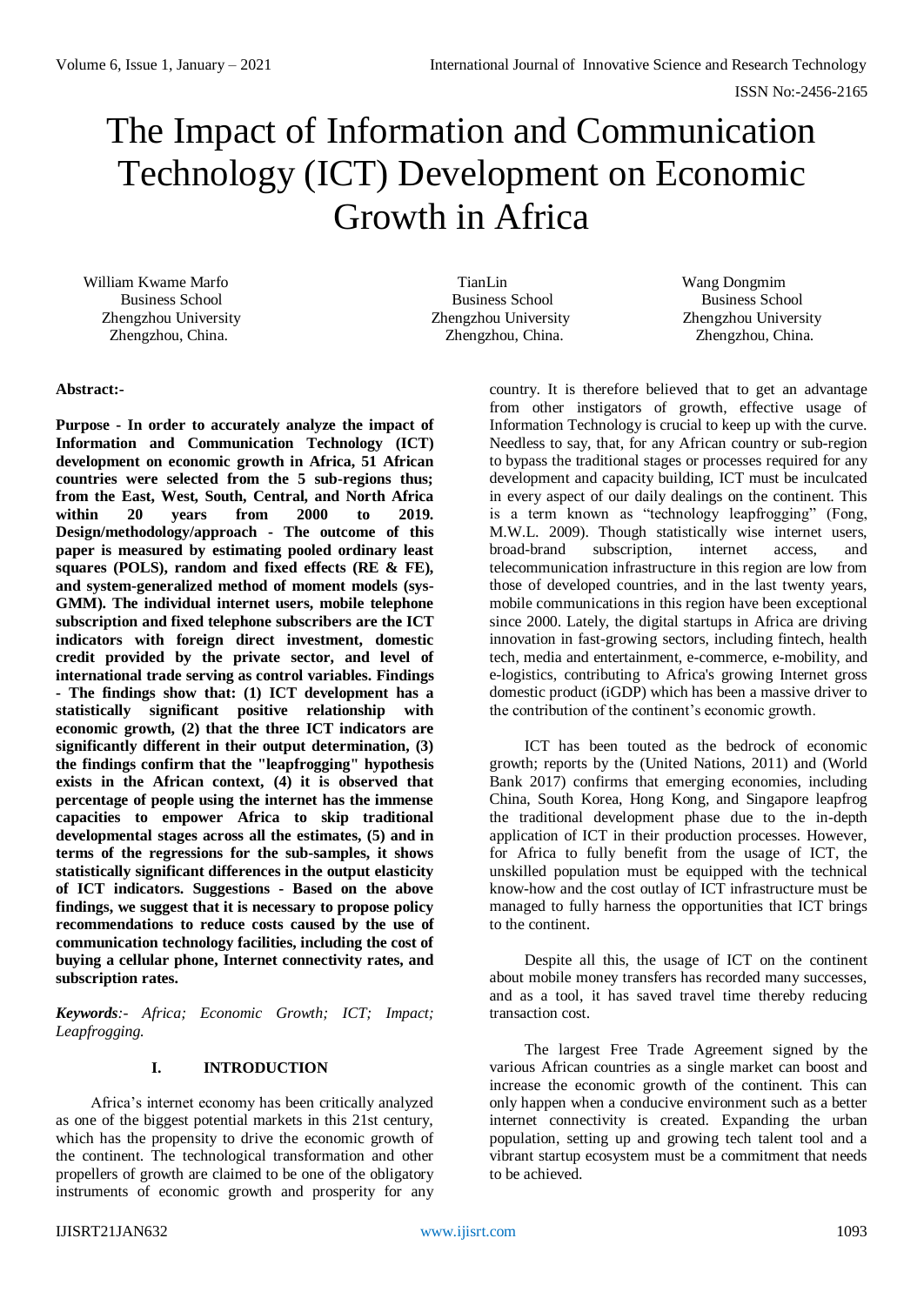# The Impact of Information and Communication Technology (ICT) Development on Economic Growth in Africa

William Kwame Marfo **TianLin** TianLin Wang Dongmim

Business School Business School Business School Zhengzhou, China. Zhengzhou, China. Zhengzhou, China.

Zhengzhou University Zhengzhou University Zhengzhou University

## **Abstract:-**

**Purpose - In order to accurately analyze the impact of Information and Communication Technology (ICT) development on economic growth in Africa, 51 African countries were selected from the 5 sub-regions thus; from the East, West, South, Central, and North Africa within 20 years from 2000 to 2019. Design/methodology/approach - The outcome of this paper is measured by estimating pooled ordinary least squares (POLS), random and fixed effects (RE & FE), and system-generalized method of moment models (sys-GMM). The individual internet users, mobile telephone subscription and fixed telephone subscribers are the ICT indicators with foreign direct investment, domestic credit provided by the private sector, and level of international trade serving as control variables. Findings - The findings show that: (1) ICT development has a statistically significant positive relationship with economic growth, (2) that the three ICT indicators are significantly different in their output determination, (3) the findings confirm that the "leapfrogging" hypothesis exists in the African context, (4) it is observed that percentage of people using the internet has the immense capacities to empower Africa to skip traditional developmental stages across all the estimates, (5) and in terms of the regressions for the sub-samples, it shows statistically significant differences in the output elasticity of ICT indicators. Suggestions - Based on the above findings, we suggest that it is necessary to propose policy recommendations to reduce costs caused by the use of communication technology facilities, including the cost of buying a cellular phone, Internet connectivity rates, and subscription rates.**

*Keywords:- Africa; Economic Growth; ICT; Impact; Leapfrogging.*

#### **I. INTRODUCTION**

Africa's internet economy has been critically analyzed as one of the biggest potential markets in this 21st century, which has the propensity to drive the economic growth of the continent. The technological transformation and other propellers of growth are claimed to be one of the obligatory instruments of economic growth and prosperity for any country. It is therefore believed that to get an advantage from other instigators of growth, effective usage of Information Technology is crucial to keep up with the curve. Needless to say, that, for any African country or sub-region to bypass the traditional stages or processes required for any development and capacity building, ICT must be inculcated in every aspect of our daily dealings on the continent. This is a term known as "technology leapfrogging" (Fong, M.W.L. 2009). Though statistically wise internet users, broad-brand subscription, internet access, and telecommunication infrastructure in this region are low from those of developed countries, and in the last twenty years, mobile communications in this region have been exceptional since 2000. Lately, the digital startups in Africa are driving innovation in fast-growing sectors, including fintech, health tech, media and entertainment, e-commerce, e-mobility, and e-logistics, contributing to Africa's growing Internet gross domestic product (iGDP) which has been a massive driver to the contribution of the continent's economic growth.

ICT has been touted as the bedrock of economic growth; reports by the (United Nations, 2011) and (World Bank 2017) confirms that emerging economies, including China, South Korea, Hong Kong, and Singapore leapfrog the traditional development phase due to the in-depth application of ICT in their production processes. However, for Africa to fully benefit from the usage of ICT, the unskilled population must be equipped with the technical know-how and the cost outlay of ICT infrastructure must be managed to fully harness the opportunities that ICT brings to the continent.

Despite all this, the usage of ICT on the continent about mobile money transfers has recorded many successes, and as a tool, it has saved travel time thereby reducing transaction cost.

The largest Free Trade Agreement signed by the various African countries as a single market can boost and increase the economic growth of the continent. This can only happen when a conducive environment such as a better internet connectivity is created. Expanding the urban population, setting up and growing tech talent tool and a vibrant startup ecosystem must be a commitment that needs to be achieved.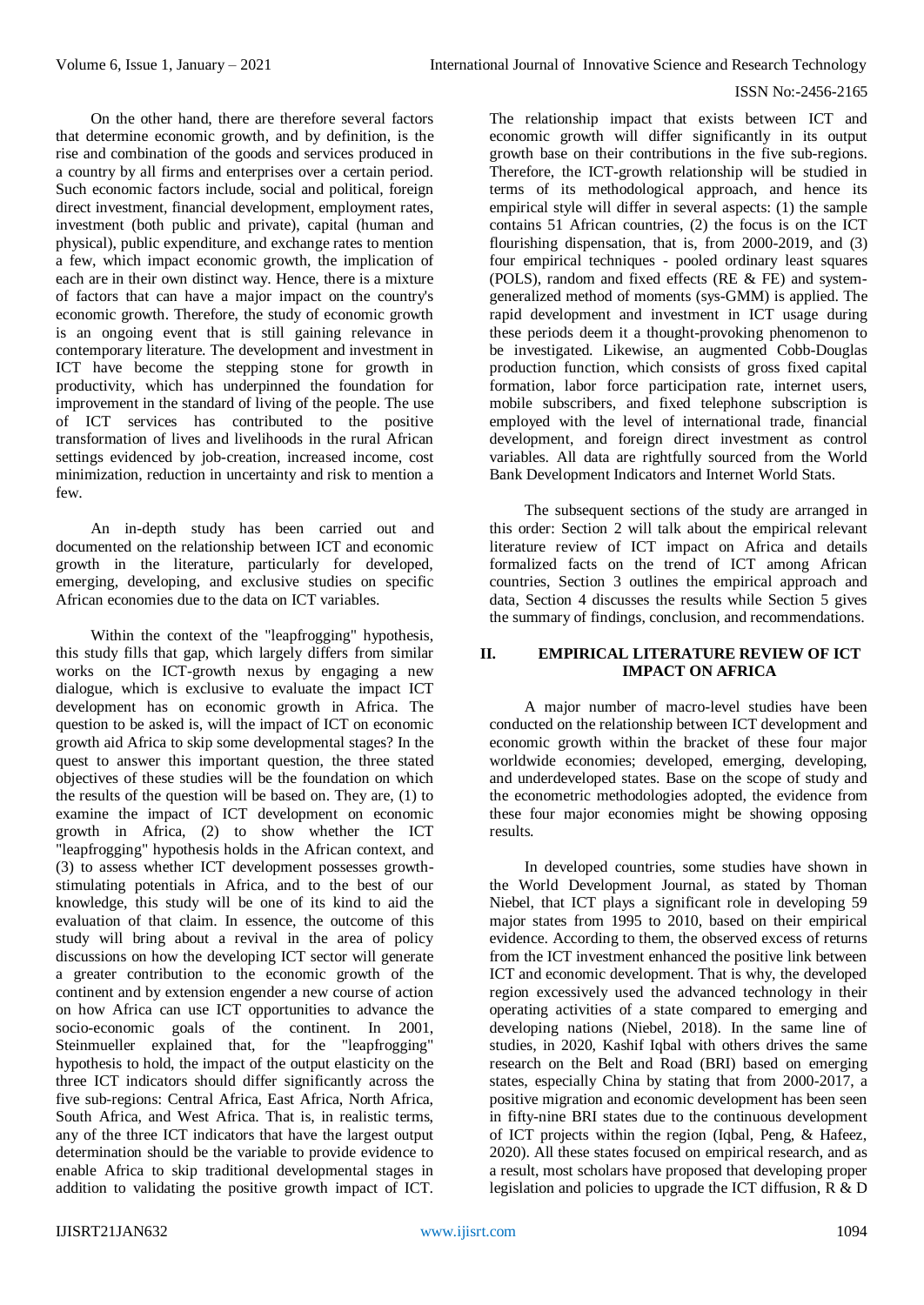On the other hand, there are therefore several factors that determine economic growth, and by definition, is the rise and combination of the goods and services produced in a country by all firms and enterprises over a certain period. Such economic factors include, social and political, foreign direct investment, financial development, employment rates, investment (both public and private), capital (human and physical), public expenditure, and exchange rates to mention a few, which impact economic growth, the implication of each are in their own distinct way. Hence, there is a mixture of factors that can have a major impact on the country's economic growth. Therefore, the study of economic growth is an ongoing event that is still gaining relevance in contemporary literature. The development and investment in ICT have become the stepping stone for growth in productivity, which has underpinned the foundation for improvement in the standard of living of the people. The use of ICT services has contributed to the positive transformation of lives and livelihoods in the rural African settings evidenced by job-creation, increased income, cost minimization, reduction in uncertainty and risk to mention a few.

An in-depth study has been carried out and documented on the relationship between ICT and economic growth in the literature, particularly for developed, emerging, developing, and exclusive studies on specific African economies due to the data on ICT variables.

Within the context of the "leapfrogging" hypothesis, this study fills that gap, which largely differs from similar works on the ICT-growth nexus by engaging a new dialogue, which is exclusive to evaluate the impact ICT development has on economic growth in Africa. The question to be asked is, will the impact of ICT on economic growth aid Africa to skip some developmental stages? In the quest to answer this important question, the three stated objectives of these studies will be the foundation on which the results of the question will be based on. They are, (1) to examine the impact of ICT development on economic growth in Africa, (2) to show whether the ICT "leapfrogging" hypothesis holds in the African context, and (3) to assess whether ICT development possesses growthstimulating potentials in Africa, and to the best of our knowledge, this study will be one of its kind to aid the evaluation of that claim. In essence, the outcome of this study will bring about a revival in the area of policy discussions on how the developing ICT sector will generate a greater contribution to the economic growth of the continent and by extension engender a new course of action on how Africa can use ICT opportunities to advance the socio-economic goals of the continent. In 2001, Steinmueller explained that, for the "leapfrogging" hypothesis to hold, the impact of the output elasticity on the three ICT indicators should differ significantly across the five sub-regions: Central Africa, East Africa, North Africa, South Africa, and West Africa. That is, in realistic terms, any of the three ICT indicators that have the largest output determination should be the variable to provide evidence to enable Africa to skip traditional developmental stages in addition to validating the positive growth impact of ICT.

The relationship impact that exists between ICT and economic growth will differ significantly in its output growth base on their contributions in the five sub-regions. Therefore, the ICT-growth relationship will be studied in terms of its methodological approach, and hence its empirical style will differ in several aspects: (1) the sample contains 51 African countries, (2) the focus is on the ICT flourishing dispensation, that is, from 2000-2019, and (3) four empirical techniques - pooled ordinary least squares (POLS), random and fixed effects (RE & FE) and systemgeneralized method of moments (sys-GMM) is applied. The rapid development and investment in ICT usage during these periods deem it a thought-provoking phenomenon to be investigated. Likewise, an augmented Cobb-Douglas production function, which consists of gross fixed capital formation, labor force participation rate, internet users, mobile subscribers, and fixed telephone subscription is employed with the level of international trade, financial development, and foreign direct investment as control variables. All data are rightfully sourced from the World Bank Development Indicators and Internet World Stats.

The subsequent sections of the study are arranged in this order: Section 2 will talk about the empirical relevant literature review of ICT impact on Africa and details formalized facts on the trend of ICT among African countries, Section 3 outlines the empirical approach and data, Section 4 discusses the results while Section 5 gives the summary of findings, conclusion, and recommendations.

### **II. EMPIRICAL LITERATURE REVIEW OF ICT IMPACT ON AFRICA**

A major number of macro-level studies have been conducted on the relationship between ICT development and economic growth within the bracket of these four major worldwide economies; developed, emerging, developing, and underdeveloped states. Base on the scope of study and the econometric methodologies adopted, the evidence from these four major economies might be showing opposing results.

In developed countries, some studies have shown in the World Development Journal, as stated by Thoman Niebel, that ICT plays a significant role in developing 59 major states from 1995 to 2010, based on their empirical evidence. According to them, the observed excess of returns from the ICT investment enhanced the positive link between ICT and economic development. That is why, the developed region excessively used the advanced technology in their operating activities of a state compared to emerging and developing nations (Niebel, 2018). In the same line of studies, in 2020, Kashif Iqbal with others drives the same research on the Belt and Road (BRI) based on emerging states, especially China by stating that from 2000-2017, a positive migration and economic development has been seen in fifty-nine BRI states due to the continuous development of ICT projects within the region (Iqbal, Peng, & Hafeez, 2020). All these states focused on empirical research, and as a result, most scholars have proposed that developing proper legislation and policies to upgrade the ICT diffusion, R & D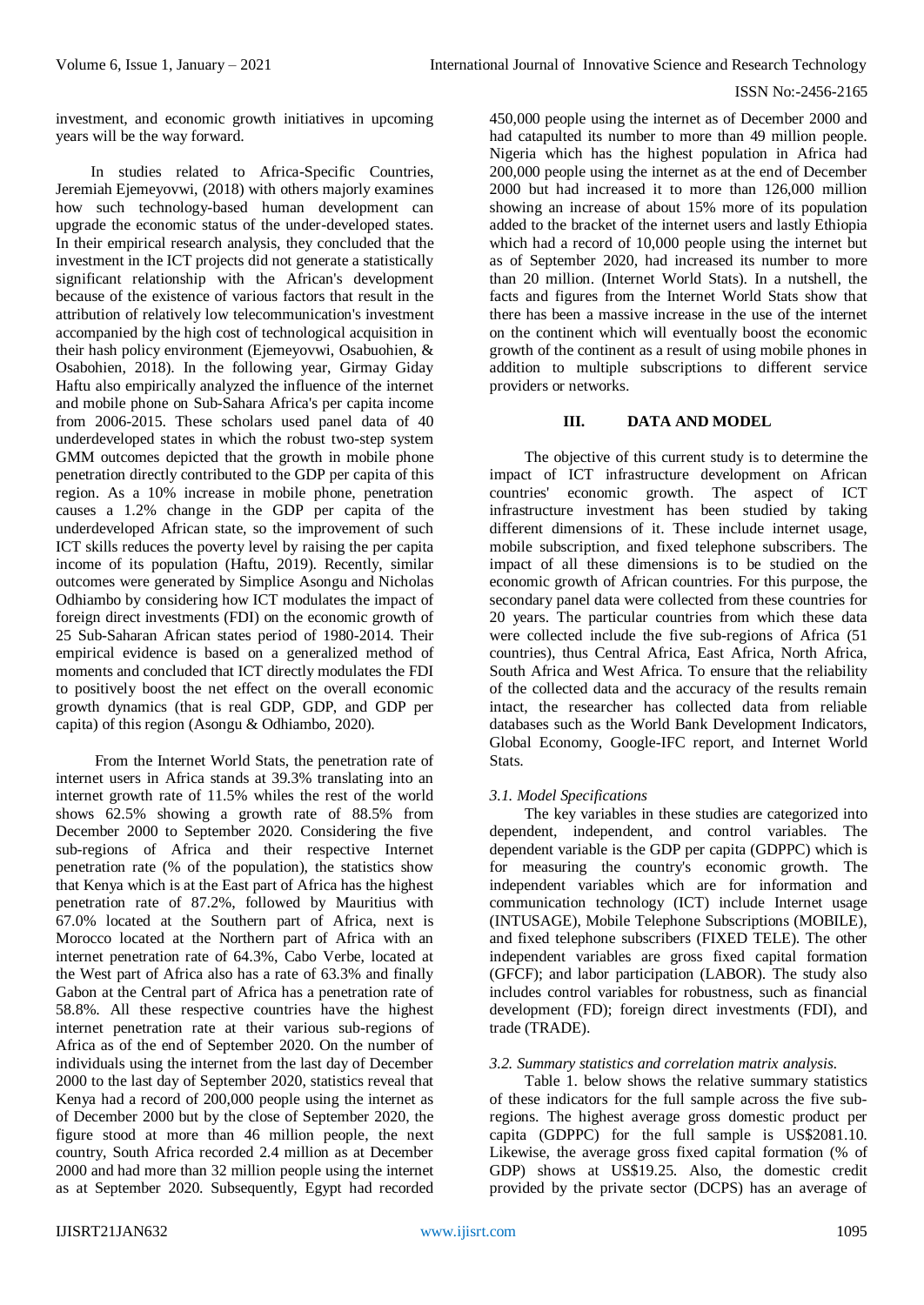investment, and economic growth initiatives in upcoming years will be the way forward.

In studies related to Africa-Specific Countries, Jeremiah Ejemeyovwi, (2018) with others majorly examines how such technology-based human development can upgrade the economic status of the under-developed states. In their empirical research analysis, they concluded that the investment in the ICT projects did not generate a statistically significant relationship with the African's development because of the existence of various factors that result in the attribution of relatively low telecommunication's investment accompanied by the high cost of technological acquisition in their hash policy environment (Ejemeyovwi, Osabuohien, & Osabohien, 2018). In the following year, Girmay Giday Haftu also empirically analyzed the influence of the internet and mobile phone on Sub-Sahara Africa's per capita income from 2006-2015. These scholars used panel data of 40 underdeveloped states in which the robust two-step system GMM outcomes depicted that the growth in mobile phone penetration directly contributed to the GDP per capita of this region. As a 10% increase in mobile phone, penetration causes a 1.2% change in the GDP per capita of the underdeveloped African state, so the improvement of such ICT skills reduces the poverty level by raising the per capita income of its population (Haftu, 2019). Recently, similar outcomes were generated by Simplice Asongu and Nicholas Odhiambo by considering how ICT modulates the impact of foreign direct investments (FDI) on the economic growth of 25 Sub-Saharan African states period of 1980-2014. Their empirical evidence is based on a generalized method of moments and concluded that ICT directly modulates the FDI to positively boost the net effect on the overall economic growth dynamics (that is real GDP, GDP, and GDP per capita) of this region (Asongu & Odhiambo, 2020).

From the Internet World Stats, the penetration rate of internet users in Africa stands at 39.3% translating into an internet growth rate of 11.5% whiles the rest of the world shows 62.5% showing a growth rate of 88.5% from December 2000 to September 2020. Considering the five sub-regions of Africa and their respective Internet penetration rate (% of the population), the statistics show that Kenya which is at the East part of Africa has the highest penetration rate of 87.2%, followed by Mauritius with 67.0% located at the Southern part of Africa, next is Morocco located at the Northern part of Africa with an internet penetration rate of 64.3%, Cabo Verbe, located at the West part of Africa also has a rate of 63.3% and finally Gabon at the Central part of Africa has a penetration rate of 58.8%. All these respective countries have the highest internet penetration rate at their various sub-regions of Africa as of the end of September 2020. On the number of individuals using the internet from the last day of December 2000 to the last day of September 2020, statistics reveal that Kenya had a record of 200,000 people using the internet as of December 2000 but by the close of September 2020, the figure stood at more than 46 million people, the next country, South Africa recorded 2.4 million as at December 2000 and had more than 32 million people using the internet as at September 2020. Subsequently, Egypt had recorded

450,000 people using the internet as of December 2000 and had catapulted its number to more than 49 million people. Nigeria which has the highest population in Africa had 200,000 people using the internet as at the end of December 2000 but had increased it to more than 126,000 million showing an increase of about 15% more of its population added to the bracket of the internet users and lastly Ethiopia which had a record of 10,000 people using the internet but as of September 2020, had increased its number to more than 20 million. (Internet World Stats). In a nutshell, the facts and figures from the Internet World Stats show that there has been a massive increase in the use of the internet on the continent which will eventually boost the economic growth of the continent as a result of using mobile phones in addition to multiple subscriptions to different service providers or networks.

## **III. DATA AND MODEL**

The objective of this current study is to determine the impact of ICT infrastructure development on African countries' economic growth. The aspect of ICT infrastructure investment has been studied by taking different dimensions of it. These include internet usage, mobile subscription, and fixed telephone subscribers. The impact of all these dimensions is to be studied on the economic growth of African countries. For this purpose, the secondary panel data were collected from these countries for 20 years. The particular countries from which these data were collected include the five sub-regions of Africa (51 countries), thus Central Africa, East Africa, North Africa, South Africa and West Africa. To ensure that the reliability of the collected data and the accuracy of the results remain intact, the researcher has collected data from reliable databases such as the World Bank Development Indicators, Global Economy, Google-IFC report, and Internet World Stats.

## *3.1. Model Specifications*

The key variables in these studies are categorized into dependent, independent, and control variables. The dependent variable is the GDP per capita (GDPPC) which is for measuring the country's economic growth. The independent variables which are for information and communication technology (ICT) include Internet usage (INTUSAGE), Mobile Telephone Subscriptions (MOBILE), and fixed telephone subscribers (FIXED TELE). The other independent variables are gross fixed capital formation (GFCF); and labor participation (LABOR). The study also includes control variables for robustness, such as financial development (FD); foreign direct investments (FDI), and trade (TRADE).

## *3.2. Summary statistics and correlation matrix analysis.*

Table 1. below shows the relative summary statistics of these indicators for the full sample across the five subregions. The highest average gross domestic product per capita (GDPPC) for the full sample is US\$2081.10. Likewise, the average gross fixed capital formation (% of GDP) shows at US\$19.25. Also, the domestic credit provided by the private sector (DCPS) has an average of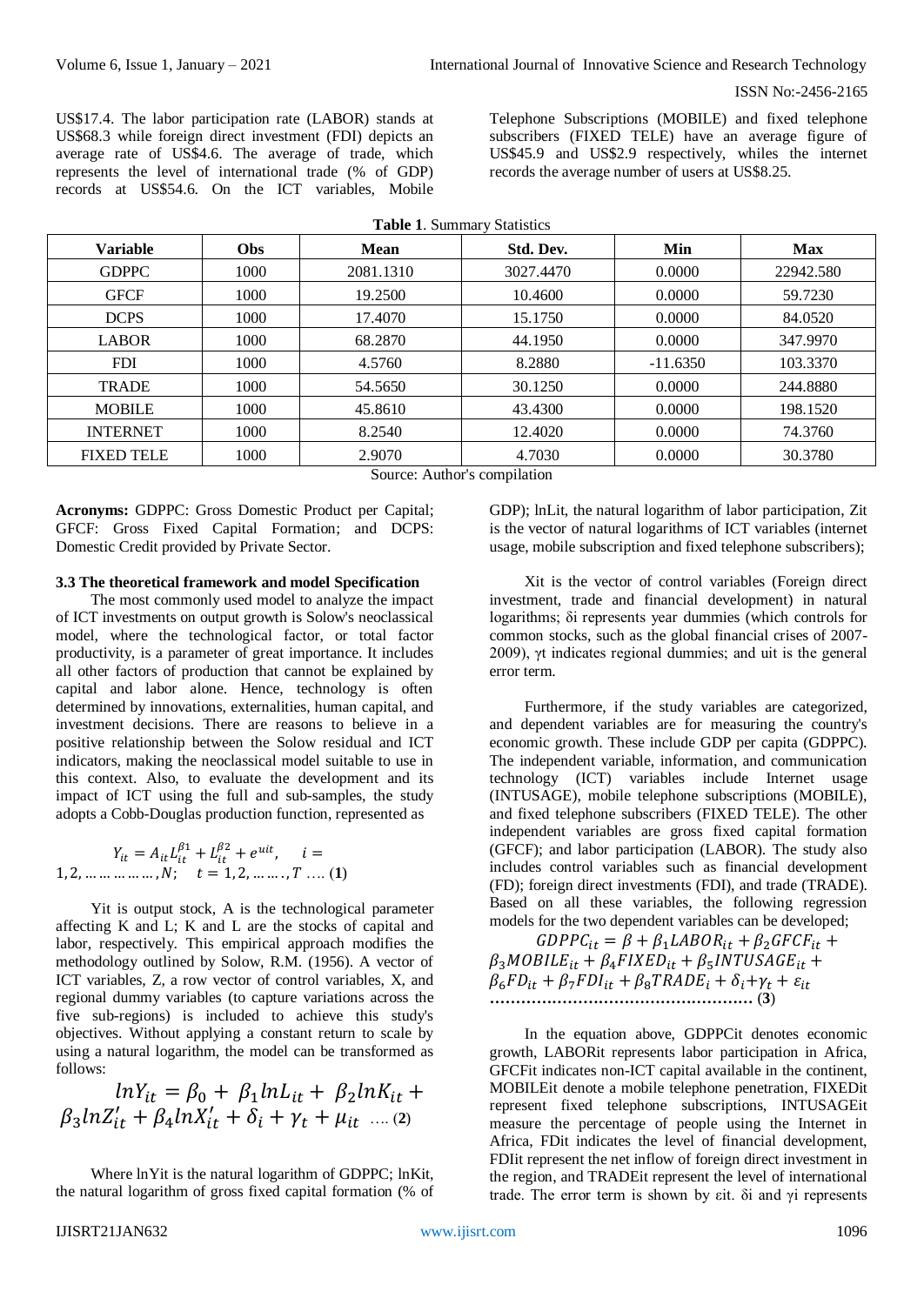US\$17.4. The labor participation rate (LABOR) stands at US\$68.3 while foreign direct investment (FDI) depicts an average rate of US\$4.6. The average of trade, which represents the level of international trade (% of GDP) records at US\$54.6. On the ICT variables, Mobile Telephone Subscriptions (MOBILE) and fixed telephone subscribers (FIXED TELE) have an average figure of US\$45.9 and US\$2.9 respectively, whiles the internet records the average number of users at US\$8.25.

| <b>Variable</b>   | <b>Obs</b> | Mean      | Std. Dev. | Min        | <b>Max</b> |
|-------------------|------------|-----------|-----------|------------|------------|
| <b>GDPPC</b>      | 1000       | 2081.1310 | 3027.4470 | 0.0000     | 22942.580  |
| <b>GFCF</b>       | 1000       | 19.2500   | 10.4600   | 0.0000     | 59.7230    |
| <b>DCPS</b>       | 1000       | 17.4070   | 15.1750   | 0.0000     | 84.0520    |
| <b>LABOR</b>      | 1000       | 68.2870   | 44.1950   | 0.0000     | 347.9970   |
| <b>FDI</b>        | 1000       | 4.5760    | 8.2880    | $-11.6350$ | 103.3370   |
| <b>TRADE</b>      | 1000       | 54.5650   | 30.1250   | 0.0000     | 244.8880   |
| <b>MOBILE</b>     | 1000       | 45.8610   | 43.4300   | 0.0000     | 198.1520   |
| <b>INTERNET</b>   | 1000       | 8.2540    | 12.4020   | 0.0000     | 74.3760    |
| <b>FIXED TELE</b> | 1000       | 2.9070    | 4.7030    | 0.0000     | 30.3780    |

Source: Author's compilation

**Acronyms:** GDPPC: Gross Domestic Product per Capital; GFCF: Gross Fixed Capital Formation; and DCPS: Domestic Credit provided by Private Sector.

**3.3 The theoretical framework and model Specification**

The most commonly used model to analyze the impact of ICT investments on output growth is Solow's neoclassical model, where the technological factor, or total factor productivity, is a parameter of great importance. It includes all other factors of production that cannot be explained by capital and labor alone. Hence, technology is often determined by innovations, externalities, human capital, and investment decisions. There are reasons to believe in a positive relationship between the Solow residual and ICT indicators, making the neoclassical model suitable to use in this context. Also, to evaluate the development and its impact of ICT using the full and sub-samples, the study adopts a Cobb-Douglas production function, represented as

$$
Y_{it} = A_{it} L_{it}^{\beta 1} + L_{it}^{\beta 2} + e^{uit}, \quad i = 1, 2, \dots \dots \dots \dots N; \quad t = 1, 2, \dots \dots, T \dots (1)
$$

Yit is output stock, A is the technological parameter affecting K and L; K and L are the stocks of capital and labor, respectively. This empirical approach modifies the methodology outlined by Solow, R.M. (1956). A vector of ICT variables, Z, a row vector of control variables, X, and regional dummy variables (to capture variations across the five sub-regions) is included to achieve this study's objectives. Without applying a constant return to scale by using a natural logarithm, the model can be transformed as follows:

$$
lnY_{it} = \beta_0 + \beta_1 lnL_{it} + \beta_2 lnK_{it} +
$$
  

$$
\beta_3 lnZ'_{it} + \beta_4 lnX'_{it} + \delta_i + \gamma_t + \mu_{it} \dots (2)
$$

Where lnYit is the natural logarithm of GDPPC; lnKit, the natural logarithm of gross fixed capital formation (% of GDP); lnLit, the natural logarithm of labor participation, Zit is the vector of natural logarithms of ICT variables (internet usage, mobile subscription and fixed telephone subscribers);

Xit is the vector of control variables (Foreign direct investment, trade and financial development) in natural logarithms; δi represents year dummies (which controls for common stocks, such as the global financial crises of 2007- 2009), γt indicates regional dummies; and uit is the general error term.

Furthermore, if the study variables are categorized, and dependent variables are for measuring the country's economic growth. These include GDP per capita (GDPPC). The independent variable, information, and communication technology (ICT) variables include Internet usage (INTUSAGE), mobile telephone subscriptions (MOBILE), and fixed telephone subscribers (FIXED TELE). The other independent variables are gross fixed capital formation (GFCF); and labor participation (LABOR). The study also includes control variables such as financial development (FD); foreign direct investments (FDI), and trade (TRADE). Based on all these variables, the following regression models for the two dependent variables can be developed;

 $GDPPC_{it} = \beta + \beta_1 LABOR_{it} + \beta_2 GFCF_{it} +$  $\beta_3 MOBILE_{it} + \beta_4 FIXED_{it} + \beta_5 INTUSAGE_{it} +$  $\beta_6 FD_{it} + \beta_7 FDI_{it} + \beta_8 TRADE_i + \delta_i + \gamma_t + \varepsilon_{it}$ **……………………………………………** (**3**)

In the equation above, GDPPCit denotes economic growth, LABORit represents labor participation in Africa, GFCFit indicates non-ICT capital available in the continent, MOBILEit denote a mobile telephone penetration, FIXEDit represent fixed telephone subscriptions, INTUSAGEit measure the percentage of people using the Internet in Africa, FDit indicates the level of financial development, FDIit represent the net inflow of foreign direct investment in the region, and TRADEit represent the level of international trade. The error term is shown by εit. δi and γi represents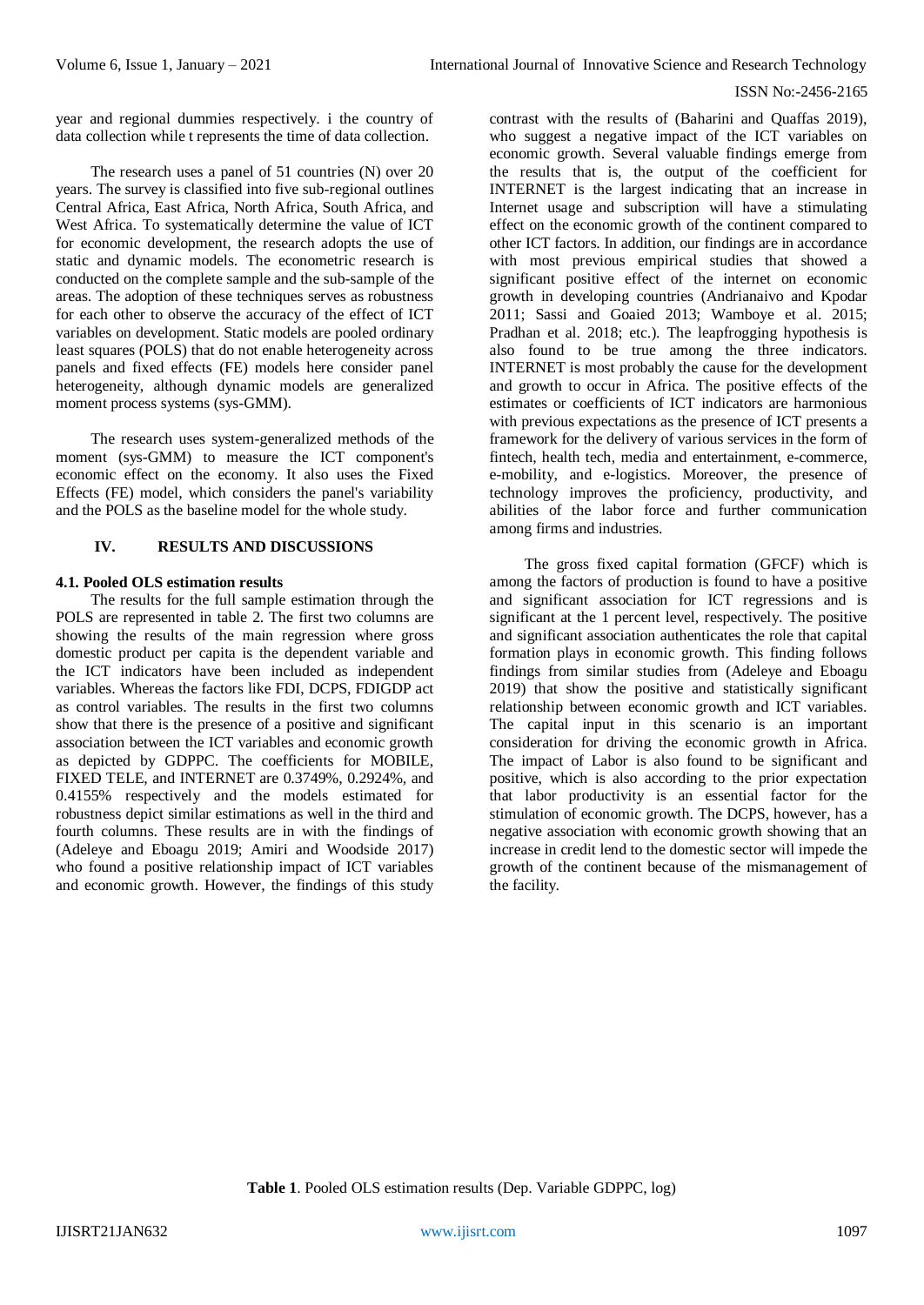year and regional dummies respectively. i the country of data collection while t represents the time of data collection.

The research uses a panel of 51 countries (N) over 20 years. The survey is classified into five sub-regional outlines Central Africa, East Africa, North Africa, South Africa, and West Africa. To systematically determine the value of ICT for economic development, the research adopts the use of static and dynamic models. The econometric research is conducted on the complete sample and the sub-sample of the areas. The adoption of these techniques serves as robustness for each other to observe the accuracy of the effect of ICT variables on development. Static models are pooled ordinary least squares (POLS) that do not enable heterogeneity across panels and fixed effects (FE) models here consider panel heterogeneity, although dynamic models are generalized moment process systems (sys-GMM).

The research uses system-generalized methods of the moment (sys-GMM) to measure the ICT component's economic effect on the economy. It also uses the Fixed Effects (FE) model, which considers the panel's variability and the POLS as the baseline model for the whole study.

## **IV. RESULTS AND DISCUSSIONS**

## **4.1. Pooled OLS estimation results**

The results for the full sample estimation through the POLS are represented in table 2. The first two columns are showing the results of the main regression where gross domestic product per capita is the dependent variable and the ICT indicators have been included as independent variables. Whereas the factors like FDI, DCPS, FDIGDP act as control variables. The results in the first two columns show that there is the presence of a positive and significant association between the ICT variables and economic growth as depicted by GDPPC. The coefficients for MOBILE, FIXED TELE, and INTERNET are 0.3749%, 0.2924%, and 0.4155% respectively and the models estimated for robustness depict similar estimations as well in the third and fourth columns. These results are in with the findings of (Adeleye and Eboagu 2019; Amiri and Woodside 2017) who found a positive relationship impact of ICT variables and economic growth. However, the findings of this study

contrast with the results of (Baharini and Quaffas 2019), who suggest a negative impact of the ICT variables on economic growth. Several valuable findings emerge from the results that is, the output of the coefficient for INTERNET is the largest indicating that an increase in Internet usage and subscription will have a stimulating effect on the economic growth of the continent compared to other ICT factors. In addition, our findings are in accordance with most previous empirical studies that showed a significant positive effect of the internet on economic growth in developing countries (Andrianaivo and Kpodar 2011; Sassi and Goaied 2013; Wamboye et al. 2015; Pradhan et al. 2018; etc.). The leapfrogging hypothesis is also found to be true among the three indicators. INTERNET is most probably the cause for the development and growth to occur in Africa. The positive effects of the estimates or coefficients of ICT indicators are harmonious with previous expectations as the presence of ICT presents a framework for the delivery of various services in the form of fintech, health tech, media and entertainment, e-commerce, e-mobility, and e-logistics. Moreover, the presence of technology improves the proficiency, productivity, and abilities of the labor force and further communication among firms and industries.

The gross fixed capital formation (GFCF) which is among the factors of production is found to have a positive and significant association for ICT regressions and is significant at the 1 percent level, respectively. The positive and significant association authenticates the role that capital formation plays in economic growth. This finding follows findings from similar studies from (Adeleye and Eboagu 2019) that show the positive and statistically significant relationship between economic growth and ICT variables. The capital input in this scenario is an important consideration for driving the economic growth in Africa. The impact of Labor is also found to be significant and positive, which is also according to the prior expectation that labor productivity is an essential factor for the stimulation of economic growth. The DCPS, however, has a negative association with economic growth showing that an increase in credit lend to the domestic sector will impede the growth of the continent because of the mismanagement of the facility.

**Table 1**. Pooled OLS estimation results (Dep. Variable GDPPC, log)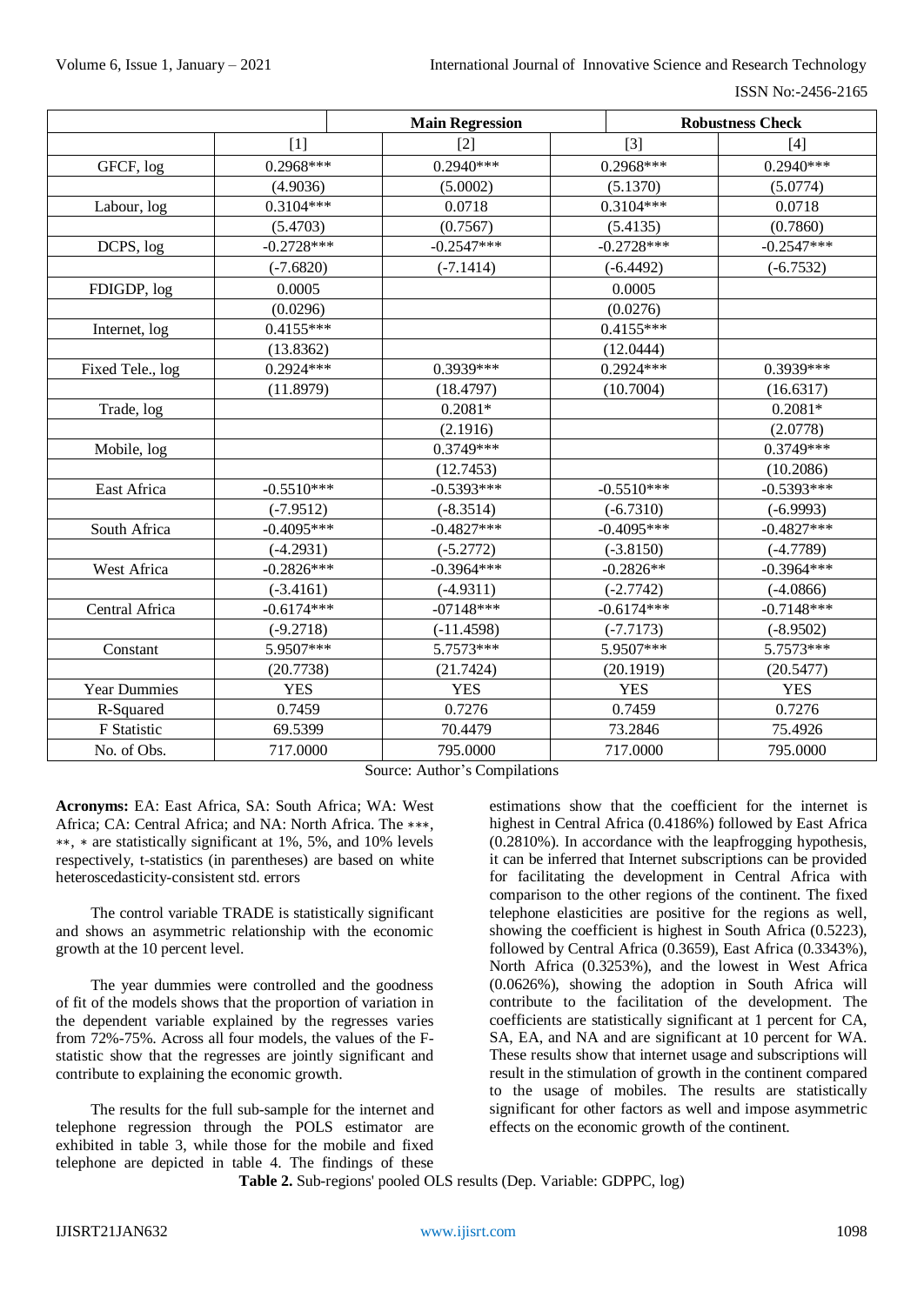ISSN No:-2456-2165

|                     |              | <b>Main Regression</b> |              | <b>Robustness Check</b> |
|---------------------|--------------|------------------------|--------------|-------------------------|
|                     | $[1]$        | $[2]$                  | $[3]$        | $[4]$                   |
| GFCF, log           | 0.2968***    | $0.2940***$            | 0.2968***    | $0.2940***$             |
|                     | (4.9036)     | (5.0002)               | (5.1370)     | (5.0774)                |
| Labour, log         | $0.3104***$  | 0.0718                 | $0.3104***$  | 0.0718                  |
|                     | (5.4703)     | (0.7567)               | (5.4135)     | (0.7860)                |
| DCPS, log           | $-0.2728***$ | $-0.2547***$           | $-0.2728***$ | $-0.2547***$            |
|                     | $(-7.6820)$  | $(-7.1414)$            | $(-6.4492)$  | $(-6.7532)$             |
| FDIGDP, log         | 0.0005       |                        | 0.0005       |                         |
|                     | (0.0296)     |                        | (0.0276)     |                         |
| Internet, log       | $0.4155***$  |                        | $0.4155***$  |                         |
|                     | (13.8362)    |                        | (12.0444)    |                         |
| Fixed Tele., log    | $0.2924***$  | 0.3939***              | $0.2924***$  | 0.3939***               |
|                     | (11.8979)    | (18.4797)              | (10.7004)    | (16.6317)               |
| Trade, log          |              | $0.2081*$              |              | $0.2081*$               |
|                     |              | (2.1916)               |              | (2.0778)                |
| Mobile, log         |              | $0.3749***$            |              | $0.3749***$             |
|                     |              | (12.7453)              |              | (10.2086)               |
| East Africa         | $-0.5510***$ | $-0.5393***$           | $-0.5510***$ | $-0.5393***$            |
|                     | $(-7.9512)$  | $(-8.3514)$            | $(-6.7310)$  | $(-6.9993)$             |
| South Africa        | $-0.4095***$ | $-0.4827***$           | $-0.4095***$ | $-0.4827***$            |
|                     | $(-4.2931)$  | $(-5.2772)$            | $(-3.8150)$  | $(-4.7789)$             |
| West Africa         | $-0.2826***$ | $-0.3964***$           | $-0.2826**$  | $-0.3964***$            |
|                     | $(-3.4161)$  | $(-4.9311)$            | $(-2.7742)$  | $(-4.0866)$             |
| Central Africa      | $-0.6174***$ | $-07148***$            | $-0.6174***$ | $-0.7148***$            |
|                     | $(-9.2718)$  | $(-11.4598)$           | $(-7.7173)$  | $(-8.9502)$             |
| Constant            | 5.9507***    | 5.7573***              | 5.9507***    | 5.7573***               |
|                     | (20.7738)    | (21.7424)              | (20.1919)    | (20.5477)               |
| <b>Year Dummies</b> | <b>YES</b>   | <b>YES</b>             | <b>YES</b>   | <b>YES</b>              |
| R-Squared           | 0.7459       | 0.7276                 | 0.7459       | 0.7276                  |
| F Statistic         | 69.5399      | 70.4479                | 73.2846      | 75.4926                 |
| No. of Obs.         | 717.0000     | 795.0000               | 717.0000     | 795.0000                |

Source: Author's Compilations

**Acronyms:** EA: East Africa, SA: South Africa; WA: West Africa; CA: Central Africa; and NA: North Africa. The ∗∗∗, ∗∗, ∗ are statistically significant at 1%, 5%, and 10% levels respectively, t-statistics (in parentheses) are based on white heteroscedasticity-consistent std. errors

The control variable TRADE is statistically significant and shows an asymmetric relationship with the economic growth at the 10 percent level.

The year dummies were controlled and the goodness of fit of the models shows that the proportion of variation in the dependent variable explained by the regresses varies from 72%-75%. Across all four models, the values of the Fstatistic show that the regresses are jointly significant and contribute to explaining the economic growth.

The results for the full sub-sample for the internet and telephone regression through the POLS estimator are exhibited in table 3, while those for the mobile and fixed telephone are depicted in table 4. The findings of these

estimations show that the coefficient for the internet is highest in Central Africa (0.4186%) followed by East Africa (0.2810%). In accordance with the leapfrogging hypothesis, it can be inferred that Internet subscriptions can be provided for facilitating the development in Central Africa with comparison to the other regions of the continent. The fixed telephone elasticities are positive for the regions as well, showing the coefficient is highest in South Africa (0.5223), followed by Central Africa (0.3659), East Africa (0.3343%), North Africa (0.3253%), and the lowest in West Africa (0.0626%), showing the adoption in South Africa will contribute to the facilitation of the development. The coefficients are statistically significant at 1 percent for CA, SA, EA, and NA and are significant at 10 percent for WA. These results show that internet usage and subscriptions will result in the stimulation of growth in the continent compared to the usage of mobiles. The results are statistically significant for other factors as well and impose asymmetric effects on the economic growth of the continent.

**Table 2.** Sub-regions' pooled OLS results (Dep. Variable: GDPPC, log)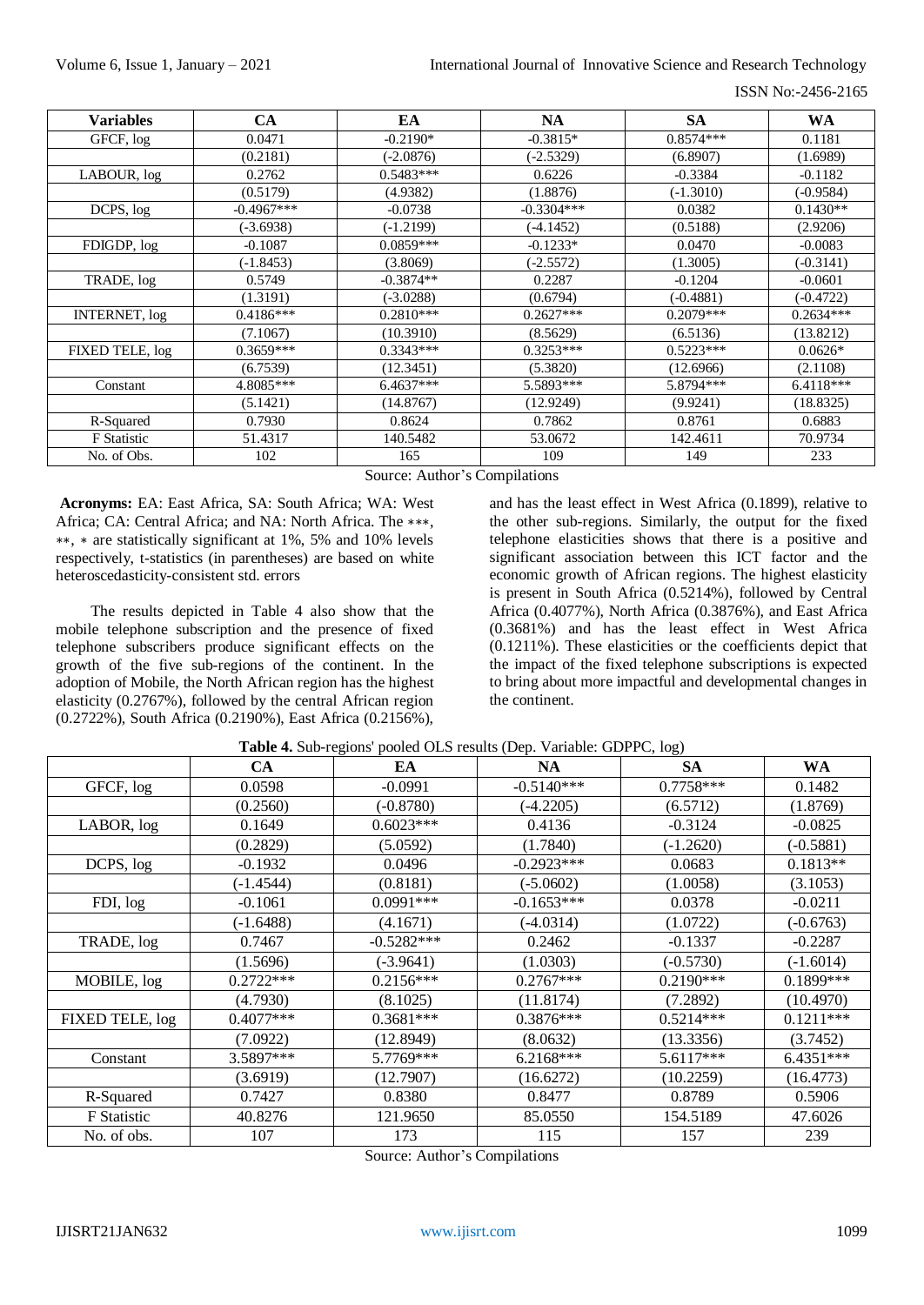| <b>Variables</b>     | <b>CA</b>    | EA          | <b>NA</b>    | <b>SA</b>   | <b>WA</b>   |
|----------------------|--------------|-------------|--------------|-------------|-------------|
| GFCF, log            | 0.0471       | $-0.2190*$  | $-0.3815*$   | $0.8574***$ | 0.1181      |
|                      | (0.2181)     | $(-2.0876)$ | $(-2.5329)$  | (6.8907)    | (1.6989)    |
| LABOUR, log          | 0.2762       | $0.5483***$ | 0.6226       | $-0.3384$   | $-0.1182$   |
|                      | (0.5179)     | (4.9382)    | (1.8876)     | $(-1.3010)$ | $(-0.9584)$ |
| DCPS, log            | $-0.4967***$ | $-0.0738$   | $-0.3304***$ | 0.0382      | $0.1430**$  |
|                      | $(-3.6938)$  | $(-1.2199)$ | $(-4.1452)$  | (0.5188)    | (2.9206)    |
| FDIGDP, log          | $-0.1087$    | $0.0859***$ | $-0.1233*$   | 0.0470      | $-0.0083$   |
|                      | $(-1.8453)$  | (3.8069)    | $(-2.5572)$  | (1.3005)    | $(-0.3141)$ |
| TRADE, log           | 0.5749       | $-0.3874**$ | 0.2287       | $-0.1204$   | $-0.0601$   |
|                      | (1.3191)     | $(-3.0288)$ | (0.6794)     | $(-0.4881)$ | (-0.4722)   |
| <b>INTERNET, log</b> | $0.4186***$  | $0.2810***$ | $0.2627***$  | $0.2079***$ | $0.2634***$ |
|                      | (7.1067)     | (10.3910)   | (8.5629)     | (6.5136)    | (13.8212)   |
| FIXED TELE, log      | $0.3659***$  | $0.3343***$ | $0.3253***$  | $0.5223***$ | $0.0626*$   |
|                      | (6.7539)     | (12.3451)   | (5.3820)     | (12.6966)   | (2.1108)    |
| Constant             | 4.8085***    | $6.4637***$ | 5.5893***    | 5.8794 ***  | $6.4118***$ |
|                      | (5.1421)     | (14.8767)   | (12.9249)    | (9.9241)    | (18.8325)   |
| R-Squared            | 0.7930       | 0.8624      | 0.7862       | 0.8761      | 0.6883      |
| <b>F</b> Statistic   | 51.4317      | 140.5482    | 53.0672      | 142.4611    | 70.9734     |
| No. of Obs.          | 102          | 165         | 109          | 149         | 233         |

Source: Author's Compilations

**Acronyms:** EA: East Africa, SA: South Africa; WA: West Africa; CA: Central Africa; and NA: North Africa. The ∗∗∗, ∗∗, ∗ are statistically significant at 1%, 5% and 10% levels respectively, t-statistics (in parentheses) are based on white heteroscedasticity-consistent std. errors

The results depicted in Table 4 also show that the mobile telephone subscription and the presence of fixed telephone subscribers produce significant effects on the growth of the five sub-regions of the continent. In the adoption of Mobile, the North African region has the highest elasticity (0.2767%), followed by the central African region (0.2722%), South Africa (0.2190%), East Africa (0.2156%),

and has the least effect in West Africa (0.1899), relative to the other sub-regions. Similarly, the output for the fixed telephone elasticities shows that there is a positive and significant association between this ICT factor and the economic growth of African regions. The highest elasticity is present in South Africa (0.5214%), followed by Central Africa (0.4077%), North Africa (0.3876%), and East Africa (0.3681%) and has the least effect in West Africa (0.1211%). These elasticities or the coefficients depict that the impact of the fixed telephone subscriptions is expected to bring about more impactful and developmental changes in the continent.

|                 | <b>CA</b>   | EA           | <b>NA</b>    | <b>SA</b>   | WA          |
|-----------------|-------------|--------------|--------------|-------------|-------------|
| GFCF, log       | 0.0598      | $-0.0991$    | $-0.5140***$ | $0.7758***$ | 0.1482      |
|                 | (0.2560)    | $(-0.8780)$  | $(-4.2205)$  | (6.5712)    | (1.8769)    |
| LABOR, log      | 0.1649      | $0.6023***$  | 0.4136       | $-0.3124$   | $-0.0825$   |
|                 | (0.2829)    | (5.0592)     | (1.7840)     | $(-1.2620)$ | $(-0.5881)$ |
| DCPS, log       | $-0.1932$   | 0.0496       | $-0.2923***$ | 0.0683      | $0.1813**$  |
|                 | $(-1.4544)$ | (0.8181)     | $(-5.0602)$  | (1.0058)    | (3.1053)    |
| FDI, log        | $-0.1061$   | $0.0991***$  | $-0.1653***$ | 0.0378      | $-0.0211$   |
|                 | (-1.6488)   | (4.1671)     | $(-4.0314)$  | (1.0722)    | $(-0.6763)$ |
| TRADE, log      | 0.7467      | $-0.5282***$ | 0.2462       | $-0.1337$   | $-0.2287$   |
|                 | (1.5696)    | $(-3.9641)$  | (1.0303)     | $(-0.5730)$ | $(-1.6014)$ |
| MOBILE, log     | $0.2722***$ | $0.2156***$  | $0.2767***$  | $0.2190***$ | $0.1899***$ |
|                 | (4.7930)    | (8.1025)     | (11.8174)    | (7.2892)    | (10.4970)   |
| FIXED TELE, log | $0.4077***$ | $0.3681***$  | $0.3876***$  | $0.5214***$ | $0.1211***$ |
|                 | (7.0922)    | (12.8949)    | (8.0632)     | (13.3356)   | (3.7452)    |
| Constant        | 3.5897***   | 5.7769***    | $6.2168***$  | 5.6117***   | 6.4351***   |
|                 | (3.6919)    | (12.7907)    | (16.6272)    | (10.2259)   | (16.4773)   |
| R-Squared       | 0.7427      | 0.8380       | 0.8477       | 0.8789      | 0.5906      |
| F Statistic     | 40.8276     | 121.9650     | 85.0550      | 154.5189    | 47.6026     |
| No. of obs.     | 107         | 173          | 115          | 157         | 239         |

**Table 4.** Sub-regions' pooled OLS results (Dep. Variable: GDPPC, log)

Source: Author's Compilations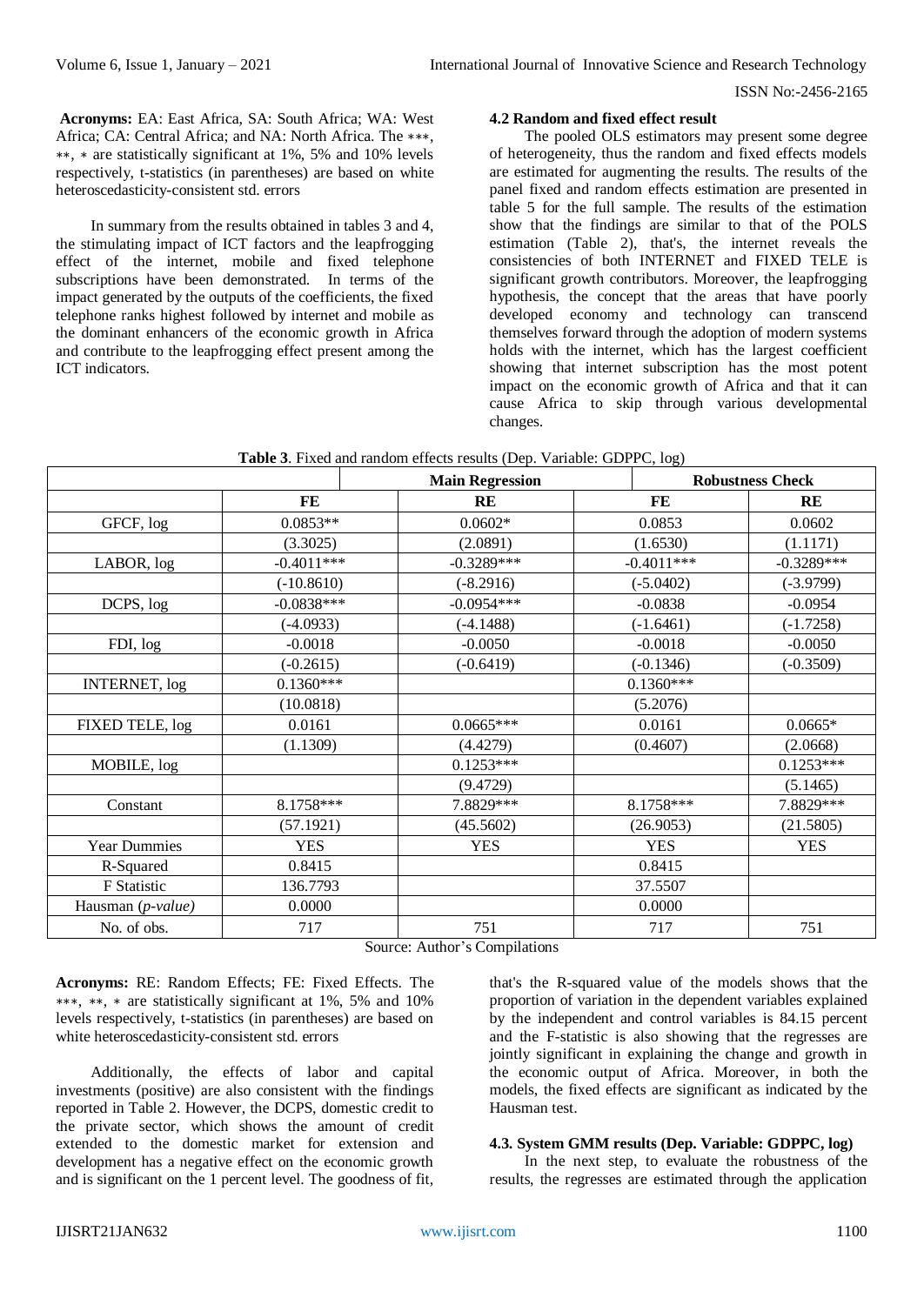**Acronyms:** EA: East Africa, SA: South Africa; WA: West Africa; CA: Central Africa; and NA: North Africa. The ∗∗∗, ∗∗, ∗ are statistically significant at 1%, 5% and 10% levels respectively, t-statistics (in parentheses) are based on white heteroscedasticity-consistent std. errors

In summary from the results obtained in tables 3 and 4, the stimulating impact of ICT factors and the leapfrogging effect of the internet, mobile and fixed telephone subscriptions have been demonstrated. In terms of the impact generated by the outputs of the coefficients, the fixed telephone ranks highest followed by internet and mobile as the dominant enhancers of the economic growth in Africa and contribute to the leapfrogging effect present among the ICT indicators.

## **4.2 Random and fixed effect result**

The pooled OLS estimators may present some degree of heterogeneity, thus the random and fixed effects models are estimated for augmenting the results. The results of the panel fixed and random effects estimation are presented in table 5 for the full sample. The results of the estimation show that the findings are similar to that of the POLS estimation (Table 2), that's, the internet reveals the consistencies of both INTERNET and FIXED TELE is significant growth contributors. Moreover, the leapfrogging hypothesis, the concept that the areas that have poorly developed economy and technology can transcend themselves forward through the adoption of modern systems holds with the internet, which has the largest coefficient showing that internet subscription has the most potent impact on the economic growth of Africa and that it can cause Africa to skip through various developmental changes.

| Table 3. Fixed and random effects results (Dep. Variable: GDPPC, log) |  |
|-----------------------------------------------------------------------|--|
|-----------------------------------------------------------------------|--|

|                      | <b>Main Regression</b> |                                            |              | <b>Robustness Check</b> |
|----------------------|------------------------|--------------------------------------------|--------------|-------------------------|
|                      | FE                     | RE                                         | FE           | RE                      |
| GFCF, log            | $0.0853**$             | $0.0602*$                                  | 0.0853       | 0.0602                  |
|                      | (3.3025)               | (2.0891)                                   | (1.6530)     | (1.1171)                |
| LABOR, log           | $-0.4011***$           | $-0.3289***$                               | $-0.4011***$ | $-0.3289***$            |
|                      | $(-10.8610)$           | $(-8.2916)$                                | $(-5.0402)$  | $(-3.9799)$             |
| DCPS, log            | $-0.0838***$           | $-0.0954***$                               | $-0.0838$    | $-0.0954$               |
|                      | $(-4.0933)$            | $(-4.1488)$                                | $(-1.6461)$  | $(-1.7258)$             |
| FDI, log             | $-0.0018$              | $-0.0050$                                  | $-0.0018$    | $-0.0050$               |
|                      | $(-0.2615)$            | $(-0.6419)$                                | $(-0.1346)$  | $(-0.3509)$             |
| <b>INTERNET, log</b> | $0.1360***$            |                                            | $0.1360***$  |                         |
|                      | (10.0818)              |                                            | (5.2076)     |                         |
| FIXED TELE, log      | 0.0161                 | $0.0665***$                                | 0.0161       | $0.0665*$               |
|                      | (1.1309)               | (4.4279)                                   | (0.4607)     | (2.0668)                |
| MOBILE, log          |                        | $0.1253***$                                |              | $0.1253***$             |
|                      |                        | (9.4729)                                   |              | (5.1465)                |
| Constant             | 8.1758***              | 7.8829***                                  | 8.1758***    | 7.8829***               |
|                      | (57.1921)              | (45.5602)                                  | (26.9053)    | (21.5805)               |
| <b>Year Dummies</b>  | <b>YES</b>             | <b>YES</b>                                 | <b>YES</b>   | <b>YES</b>              |
| R-Squared            | 0.8415                 |                                            | 0.8415       |                         |
| F Statistic          | 136.7793               |                                            | 37.5507      |                         |
| Hausman (p-value)    | 0.0000                 |                                            | 0.0000       |                         |
| No. of obs.          | 717                    | 751<br>$\alpha$ $\alpha$ $\alpha$ $\alpha$ | 717          | 751                     |

Source: Author's Compilations

**Acronyms:** RE: Random Effects; FE: Fixed Effects. The ∗∗∗, ∗∗, ∗ are statistically significant at 1%, 5% and 10% levels respectively, t-statistics (in parentheses) are based on white heteroscedasticity-consistent std. errors

Additionally, the effects of labor and capital investments (positive) are also consistent with the findings reported in Table 2. However, the DCPS, domestic credit to the private sector, which shows the amount of credit extended to the domestic market for extension and development has a negative effect on the economic growth and is significant on the 1 percent level. The goodness of fit, that's the R-squared value of the models shows that the proportion of variation in the dependent variables explained by the independent and control variables is 84.15 percent and the F-statistic is also showing that the regresses are jointly significant in explaining the change and growth in the economic output of Africa. Moreover, in both the models, the fixed effects are significant as indicated by the Hausman test.

#### **4.3. System GMM results (Dep. Variable: GDPPC, log)**

In the next step, to evaluate the robustness of the results, the regresses are estimated through the application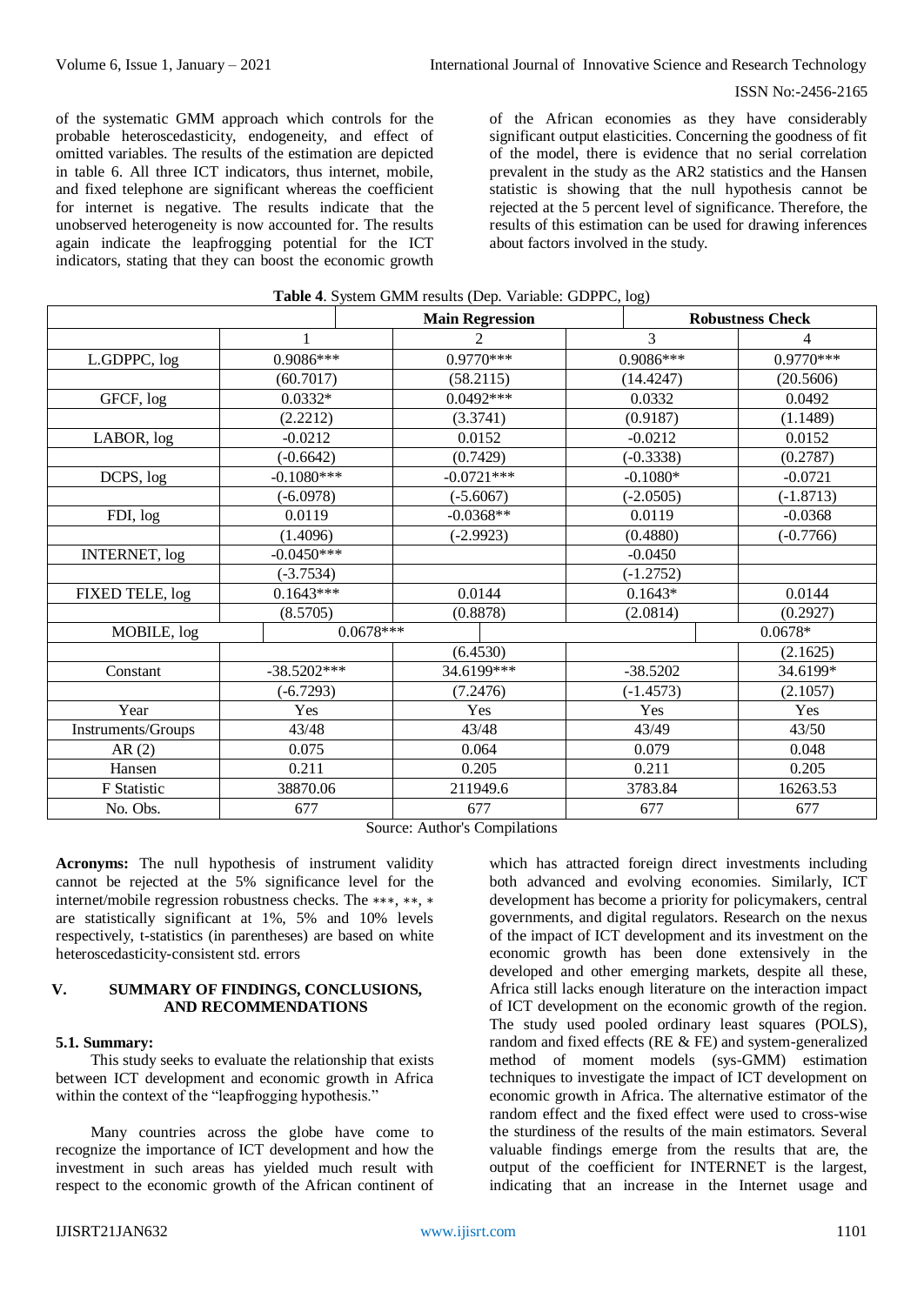of the systematic GMM approach which controls for the probable heteroscedasticity, endogeneity, and effect of omitted variables. The results of the estimation are depicted in table 6. All three ICT indicators, thus internet, mobile, and fixed telephone are significant whereas the coefficient for internet is negative. The results indicate that the unobserved heterogeneity is now accounted for. The results again indicate the leapfrogging potential for the ICT indicators, stating that they can boost the economic growth of the African economies as they have considerably significant output elasticities. Concerning the goodness of fit of the model, there is evidence that no serial correlation prevalent in the study as the AR2 statistics and the Hansen statistic is showing that the null hypothesis cannot be rejected at the 5 percent level of significance. Therefore, the results of this estimation can be used for drawing inferences about factors involved in the study.

|                      |               | <b>Main Regression</b> |             | <b>Robustness Check</b> |
|----------------------|---------------|------------------------|-------------|-------------------------|
|                      | 1             | $\overline{2}$         | 3           | 4                       |
| L.GDPPC, log         | 0.9086***     | $0.9770***$            | 0.9086***   | $0.9770***$             |
|                      | (60.7017)     | (58.2115)              | (14.4247)   | (20.5606)               |
| GFCF, log            | $0.0332*$     | $0.0492***$            | 0.0332      | 0.0492                  |
|                      | (2.2212)      | (3.3741)               | (0.9187)    | (1.1489)                |
| LABOR, log           | $-0.0212$     | 0.0152                 | $-0.0212$   | 0.0152                  |
|                      | $(-0.6642)$   | (0.7429)               | $(-0.3338)$ | (0.2787)                |
| DCPS, log            | $-0.1080***$  | $-0.0721***$           | $-0.1080*$  | $-0.0721$               |
|                      | $(-6.0978)$   | $(-5.6067)$            | $(-2.0505)$ | $(-1.8713)$             |
| FDI, log             | 0.0119        | $-0.0368**$            | 0.0119      | $-0.0368$               |
|                      | (1.4096)      | $(-2.9923)$            | (0.4880)    | $(-0.7766)$             |
| <b>INTERNET, log</b> | $-0.0450***$  |                        | $-0.0450$   |                         |
|                      | $(-3.7534)$   |                        | $(-1.2752)$ |                         |
| FIXED TELE, log      | $0.1643***$   | 0.0144                 | $0.1643*$   | 0.0144                  |
|                      | (8.5705)      | (0.8878)               | (2.0814)    | (0.2927)                |
| MOBILE, log          |               | $0.0678***$            |             | $0.0678*$               |
|                      |               | (6.4530)               |             | (2.1625)                |
| Constant             | $-38.5202***$ | 34.6199***             | $-38.5202$  | 34.6199*                |
|                      | $(-6.7293)$   | (7.2476)               | $(-1.4573)$ | (2.1057)                |
| Year                 | Yes           | Yes                    | Yes         | Yes                     |
| Instruments/Groups   | 43/48         | 43/48                  | 43/49       | 43/50                   |
| AR(2)                | 0.075         | 0.064                  | 0.079       | 0.048                   |
| Hansen               | 0.211         | 0.205                  | 0.211       | 0.205                   |
| F Statistic          | 38870.06      | 211949.6               | 3783.84     | 16263.53                |
| No. Obs.             | 677           | 677                    | 677         | 677                     |

## **Table 4**. System GMM results (Dep. Variable: GDPPC, log)

Source: Author's Compilations

**Acronyms:** The null hypothesis of instrument validity cannot be rejected at the 5% significance level for the internet/mobile regression robustness checks. The ∗∗∗, ∗∗, ∗ are statistically significant at 1%, 5% and 10% levels respectively, t-statistics (in parentheses) are based on white heteroscedasticity-consistent std. errors

#### **V. SUMMARY OF FINDINGS, CONCLUSIONS, AND RECOMMENDATIONS**

#### **5.1. Summary:**

This study seeks to evaluate the relationship that exists between ICT development and economic growth in Africa within the context of the "leapfrogging hypothesis."

Many countries across the globe have come to recognize the importance of ICT development and how the investment in such areas has yielded much result with respect to the economic growth of the African continent of

which has attracted foreign direct investments including both advanced and evolving economies. Similarly, ICT development has become a priority for policymakers, central governments, and digital regulators. Research on the nexus of the impact of ICT development and its investment on the economic growth has been done extensively in the developed and other emerging markets, despite all these, Africa still lacks enough literature on the interaction impact of ICT development on the economic growth of the region. The study used pooled ordinary least squares (POLS), random and fixed effects (RE & FE) and system-generalized method of moment models (sys-GMM) estimation techniques to investigate the impact of ICT development on economic growth in Africa. The alternative estimator of the random effect and the fixed effect were used to cross-wise the sturdiness of the results of the main estimators. Several valuable findings emerge from the results that are, the output of the coefficient for INTERNET is the largest, indicating that an increase in the Internet usage and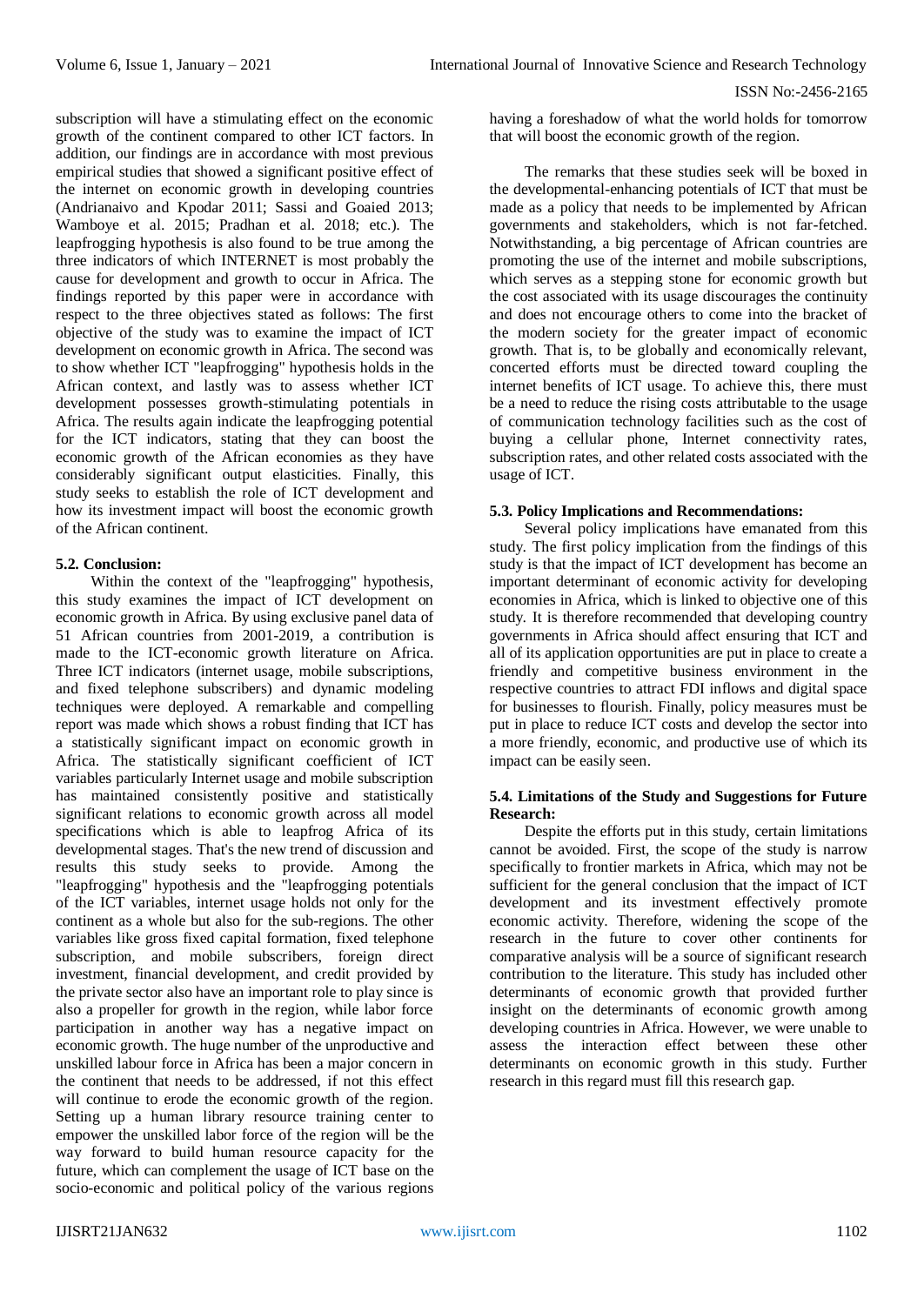subscription will have a stimulating effect on the economic growth of the continent compared to other ICT factors. In addition, our findings are in accordance with most previous empirical studies that showed a significant positive effect of the internet on economic growth in developing countries (Andrianaivo and Kpodar 2011; Sassi and Goaied 2013; Wamboye et al. 2015; Pradhan et al. 2018; etc.). The leapfrogging hypothesis is also found to be true among the three indicators of which INTERNET is most probably the cause for development and growth to occur in Africa. The findings reported by this paper were in accordance with respect to the three objectives stated as follows: The first objective of the study was to examine the impact of ICT development on economic growth in Africa. The second was to show whether ICT "leapfrogging" hypothesis holds in the African context, and lastly was to assess whether ICT development possesses growth-stimulating potentials in Africa. The results again indicate the leapfrogging potential for the ICT indicators, stating that they can boost the economic growth of the African economies as they have considerably significant output elasticities. Finally, this study seeks to establish the role of ICT development and how its investment impact will boost the economic growth of the African continent.

### **5.2. Conclusion:**

Within the context of the "leapfrogging" hypothesis, this study examines the impact of ICT development on economic growth in Africa. By using exclusive panel data of 51 African countries from 2001-2019, a contribution is made to the ICT-economic growth literature on Africa. Three ICT indicators (internet usage, mobile subscriptions, and fixed telephone subscribers) and dynamic modeling techniques were deployed. A remarkable and compelling report was made which shows a robust finding that ICT has a statistically significant impact on economic growth in Africa. The statistically significant coefficient of ICT variables particularly Internet usage and mobile subscription has maintained consistently positive and statistically significant relations to economic growth across all model specifications which is able to leapfrog Africa of its developmental stages. That's the new trend of discussion and results this study seeks to provide. Among the "leapfrogging" hypothesis and the "leapfrogging potentials of the ICT variables, internet usage holds not only for the continent as a whole but also for the sub-regions. The other variables like gross fixed capital formation, fixed telephone subscription, and mobile subscribers, foreign direct investment, financial development, and credit provided by the private sector also have an important role to play since is also a propeller for growth in the region, while labor force participation in another way has a negative impact on economic growth. The huge number of the unproductive and unskilled labour force in Africa has been a major concern in the continent that needs to be addressed, if not this effect will continue to erode the economic growth of the region. Setting up a human library resource training center to empower the unskilled labor force of the region will be the way forward to build human resource capacity for the future, which can complement the usage of ICT base on the socio-economic and political policy of the various regions

having a foreshadow of what the world holds for tomorrow that will boost the economic growth of the region.

The remarks that these studies seek will be boxed in the developmental-enhancing potentials of ICT that must be made as a policy that needs to be implemented by African governments and stakeholders, which is not far-fetched. Notwithstanding, a big percentage of African countries are promoting the use of the internet and mobile subscriptions, which serves as a stepping stone for economic growth but the cost associated with its usage discourages the continuity and does not encourage others to come into the bracket of the modern society for the greater impact of economic growth. That is, to be globally and economically relevant, concerted efforts must be directed toward coupling the internet benefits of ICT usage. To achieve this, there must be a need to reduce the rising costs attributable to the usage of communication technology facilities such as the cost of buying a cellular phone, Internet connectivity rates, subscription rates, and other related costs associated with the usage of ICT.

## **5.3. Policy Implications and Recommendations:**

Several policy implications have emanated from this study. The first policy implication from the findings of this study is that the impact of ICT development has become an important determinant of economic activity for developing economies in Africa, which is linked to objective one of this study. It is therefore recommended that developing country governments in Africa should affect ensuring that ICT and all of its application opportunities are put in place to create a friendly and competitive business environment in the respective countries to attract FDI inflows and digital space for businesses to flourish. Finally, policy measures must be put in place to reduce ICT costs and develop the sector into a more friendly, economic, and productive use of which its impact can be easily seen.

### **5.4. Limitations of the Study and Suggestions for Future Research:**

Despite the efforts put in this study, certain limitations cannot be avoided. First, the scope of the study is narrow specifically to frontier markets in Africa, which may not be sufficient for the general conclusion that the impact of ICT development and its investment effectively promote economic activity. Therefore, widening the scope of the research in the future to cover other continents for comparative analysis will be a source of significant research contribution to the literature. This study has included other determinants of economic growth that provided further insight on the determinants of economic growth among developing countries in Africa. However, we were unable to assess the interaction effect between these other determinants on economic growth in this study. Further research in this regard must fill this research gap.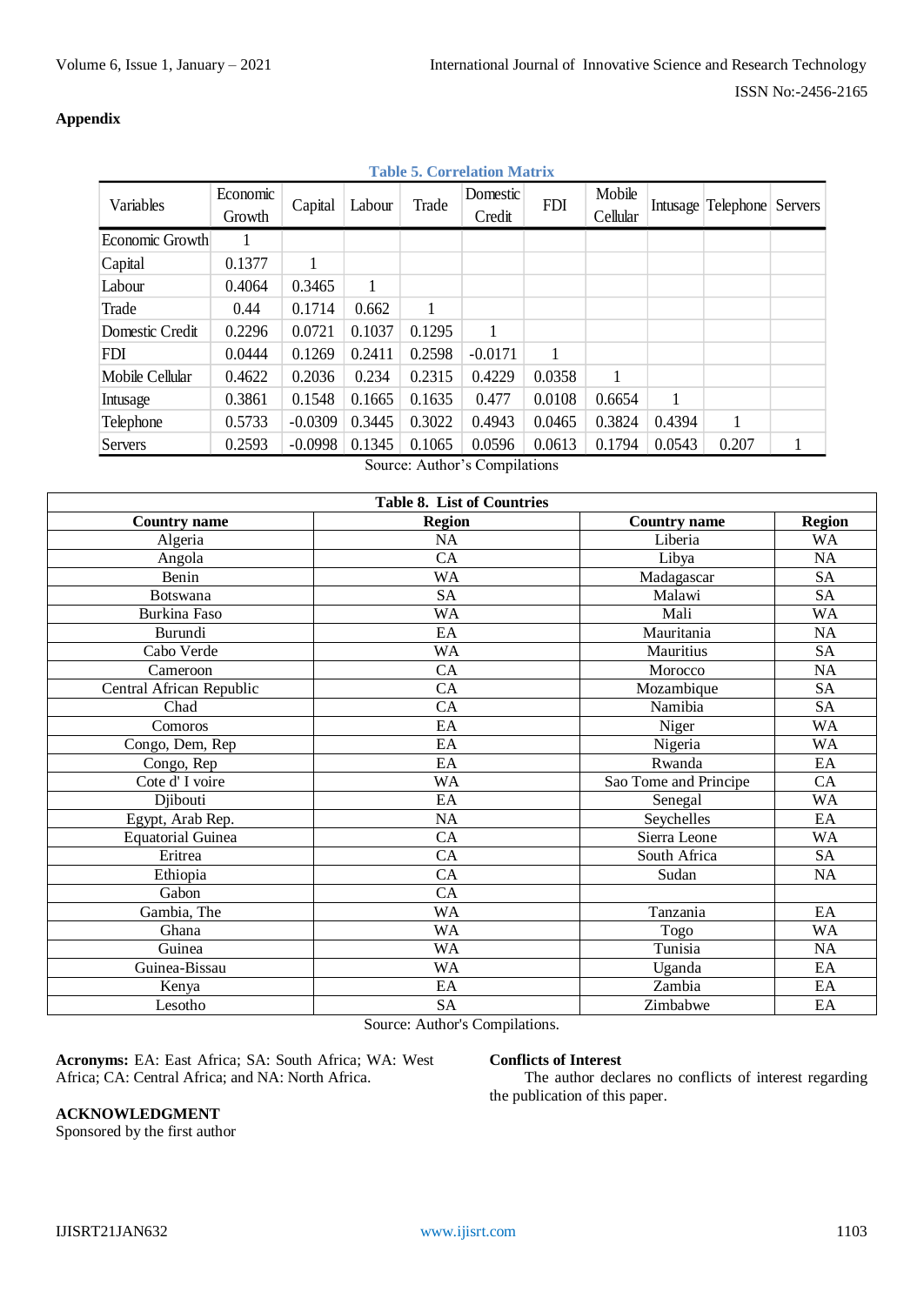## **Appendix**

| <b>Table 5. Correlation Matrix</b> |                    |           |        |        |                    |            |                    |          |           |         |
|------------------------------------|--------------------|-----------|--------|--------|--------------------|------------|--------------------|----------|-----------|---------|
| Variables                          | Economic<br>Growth | Capital   | Labour | Trade  | Domestic<br>Credit | <b>FDI</b> | Mobile<br>Cellular | Intusage | Telephone | Servers |
| Economic Growth                    |                    |           |        |        |                    |            |                    |          |           |         |
| Capital                            | 0.1377             |           |        |        |                    |            |                    |          |           |         |
| Labour                             | 0.4064             | 0.3465    | 1      |        |                    |            |                    |          |           |         |
| Trade                              | 0.44               | 0.1714    | 0.662  | 1      |                    |            |                    |          |           |         |
| Domestic Credit                    | 0.2296             | 0.0721    | 0.1037 | 0.1295 |                    |            |                    |          |           |         |
| FDI                                | 0.0444             | 0.1269    | 0.2411 | 0.2598 | $-0.0171$          |            |                    |          |           |         |
| Mobile Cellular                    | 0.4622             | 0.2036    | 0.234  | 0.2315 | 0.4229             | 0.0358     |                    |          |           |         |
| Intusage                           | 0.3861             | 0.1548    | 0.1665 | 0.1635 | 0.477              | 0.0108     | 0.6654             | 1        |           |         |
| Telephone                          | 0.5733             | $-0.0309$ | 0.3445 | 0.3022 | 0.4943             | 0.0465     | 0.3824             | 0.4394   | 1         |         |
| <b>Servers</b>                     | 0.2593             | $-0.0998$ | 0.1345 | 0.1065 | 0.0596             | 0.0613     | 0.1794             | 0.0543   | 0.207     |         |
|                                    |                    |           |        |        |                    |            |                    |          |           |         |

Source: Author's Compilations

| Table 8. List of Countries |               |                       |               |  |  |  |  |
|----------------------------|---------------|-----------------------|---------------|--|--|--|--|
| <b>Country name</b>        | <b>Region</b> | <b>Country name</b>   | <b>Region</b> |  |  |  |  |
| Algeria                    | NA            | Liberia               | <b>WA</b>     |  |  |  |  |
| Angola                     | CA            | Libya                 | <b>NA</b>     |  |  |  |  |
| Benin                      | WA            | Madagascar            | <b>SA</b>     |  |  |  |  |
| <b>Botswana</b>            | <b>SA</b>     | Malawi                | <b>SA</b>     |  |  |  |  |
| Burkina Faso               | WA            | Mali                  | <b>WA</b>     |  |  |  |  |
| Burundi                    | EA            | Mauritania            | NA            |  |  |  |  |
| Cabo Verde                 | WA            | Mauritius             | <b>SA</b>     |  |  |  |  |
| Cameroon                   | CA            | Morocco               | <b>NA</b>     |  |  |  |  |
| Central African Republic   | CA            | Mozambique            | <b>SA</b>     |  |  |  |  |
| Chad                       | CA            | Namibia               | <b>SA</b>     |  |  |  |  |
| Comoros                    | EA            | Niger                 | <b>WA</b>     |  |  |  |  |
| Congo, Dem, Rep            | EA            | Nigeria               | <b>WA</b>     |  |  |  |  |
| Congo, Rep                 | EA            | Rwanda                | EA            |  |  |  |  |
| Cote d'I voire             | WA            | Sao Tome and Principe | CA            |  |  |  |  |
| Djibouti                   | EA            | Senegal               | <b>WA</b>     |  |  |  |  |
| Egypt, Arab Rep.           | <b>NA</b>     | Seychelles            | EA            |  |  |  |  |
| <b>Equatorial Guinea</b>   | CA            | Sierra Leone          | <b>WA</b>     |  |  |  |  |
| Eritrea                    | CA            | South Africa          | <b>SA</b>     |  |  |  |  |
| Ethiopia                   | CA            | Sudan                 | <b>NA</b>     |  |  |  |  |
| Gabon                      | CA            |                       |               |  |  |  |  |
| Gambia, The                | WA            | Tanzania              | EA            |  |  |  |  |
| Ghana                      | WA            | Togo                  | <b>WA</b>     |  |  |  |  |
| Guinea                     | WA            | Tunisia               | <b>NA</b>     |  |  |  |  |
| Guinea-Bissau              | WA            | Uganda                | EA            |  |  |  |  |
| Kenya                      | EA            | Zambia                | EA            |  |  |  |  |
| Lesotho                    | <b>SA</b>     | Zimbabwe              | EA            |  |  |  |  |

Source: Author's Compilations.

**Acronyms:** EA: East Africa; SA: South Africa; WA: West Africa; CA: Central Africa; and NA: North Africa.

## **Conflicts of Interest**

The author declares no conflicts of interest regarding the publication of this paper.

## **ACKNOWLEDGMENT**

Sponsored by the first author